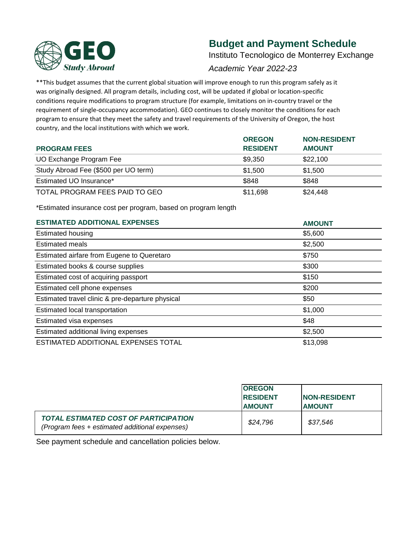

# **Budget and Payment Schedule**

Instituto Tecnologico de Monterrey Exchange

# *Academic Year 2022-23*

\*\*This budget assumes that the current global situation will improve enough to run this program safely as it was originally designed. All program details, including cost, will be updated if global or location-specific conditions require modifications to program structure (for example, limitations on in-country travel or the requirement of single-occupancy accommodation). GEO continues to closely monitor the conditions for each program to ensure that they meet the safety and travel requirements of the University of Oregon, the host country, and the local institutions with which we work.

|                                      | <b>OREGON</b>   | <b>NON-RESIDENT</b> |
|--------------------------------------|-----------------|---------------------|
| <b>PROGRAM FEES</b>                  | <b>RESIDENT</b> | <b>AMOUNT</b>       |
| UO Exchange Program Fee              | \$9.350         | \$22,100            |
| Study Abroad Fee (\$500 per UO term) | \$1,500         | \$1,500             |
| Estimated UO Insurance*              | \$848           | \$848               |
| TOTAL PROGRAM FEES PAID TO GEO       | \$11,698        | \$24,448            |

\*Estimated insurance cost per program, based on program length

| <b>ESTIMATED ADDITIONAL EXPENSES</b>             | <b>AMOUNT</b> |
|--------------------------------------------------|---------------|
| <b>Estimated housing</b>                         | \$5,600       |
| <b>Estimated meals</b>                           | \$2,500       |
| Estimated airfare from Eugene to Queretaro       | \$750         |
| Estimated books & course supplies                | \$300         |
| Estimated cost of acquiring passport             | \$150         |
| Estimated cell phone expenses                    | \$200         |
| Estimated travel clinic & pre-departure physical | \$50          |
| Estimated local transportation                   | \$1,000       |
| Estimated visa expenses                          | \$48          |
| Estimated additional living expenses             | \$2,500       |
| ESTIMATED ADDITIONAL EXPENSES TOTAL              | \$13,098      |

|                                                                                                | <b>IOREGON</b><br><b>IRESIDENT</b><br><b>AMOUNT</b> | <b>INON-RESIDENT</b><br><b>AMOUNT</b> |
|------------------------------------------------------------------------------------------------|-----------------------------------------------------|---------------------------------------|
| <b>TOTAL ESTIMATED COST OF PARTICIPATION</b><br>(Program fees + estimated additional expenses) | \$24,796                                            | \$37,546                              |

See payment schedule and cancellation policies below.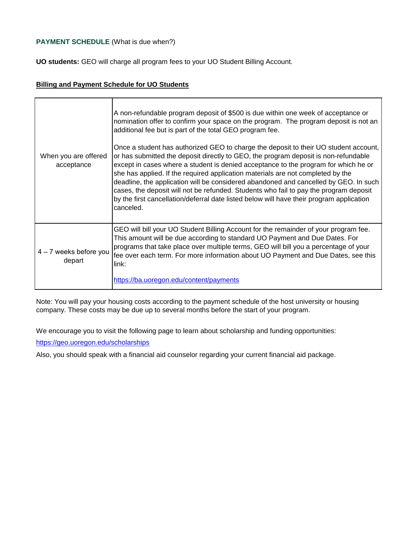## **PAYMENT SCHEDULE** (What is due when?)

**UO students:** GEO will charge all program fees to your UO Student Billing Account.

#### **Billing and Payment Schedule for UO Students**

| When you are offered<br>acceptance | A non-refundable program deposit of \$500 is due within one week of acceptance or<br>nomination offer to confirm your space on the program. The program deposit is not an<br>additional fee but is part of the total GEO program fee.<br>Once a student has authorized GEO to charge the deposit to their UO student account,<br>or has submitted the deposit directly to GEO, the program deposit is non-refundable<br>except in cases where a student is denied acceptance to the program for which he or<br>she has applied. If the required application materials are not completed by the<br>deadline, the application will be considered abandoned and cancelled by GEO. In such<br>cases, the deposit will not be refunded. Students who fail to pay the program deposit<br>by the first cancellation/deferral date listed below will have their program application<br>canceled. |
|------------------------------------|------------------------------------------------------------------------------------------------------------------------------------------------------------------------------------------------------------------------------------------------------------------------------------------------------------------------------------------------------------------------------------------------------------------------------------------------------------------------------------------------------------------------------------------------------------------------------------------------------------------------------------------------------------------------------------------------------------------------------------------------------------------------------------------------------------------------------------------------------------------------------------------|
| 4 - 7 weeks before you<br>depart   | GEO will bill your UO Student Billing Account for the remainder of your program fee.<br>This amount will be due according to standard UO Payment and Due Dates. For<br>programs that take place over multiple terms, GEO will bill you a percentage of your<br>fee over each term. For more information about UO Payment and Due Dates, see this<br>link:<br>https://ba.uoregon.edu/content/payments                                                                                                                                                                                                                                                                                                                                                                                                                                                                                     |

Note: You will pay your housing costs according to the payment schedule of the host university or housing company. These costs may be due up to several months before the start of your program.

We encourage you to visit the following page to learn about scholarship and funding opportunities:

[https://ge](https://geo.uoregon.edu/scholarships)o.uoregon.edu/scholarships

Also, you should speak with a financial aid counselor regarding your current financial aid package.